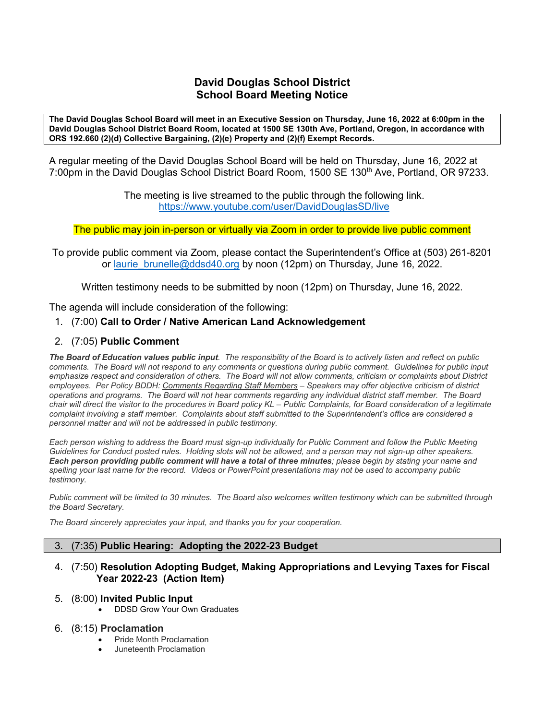## **David Douglas School District School Board Meeting Notice**

**The David Douglas School Board will meet in an Executive Session on Thursday, June 16, 2022 at 6:00pm in the David Douglas School District Board Room, located at 1500 SE 130th Ave, Portland, Oregon, in accordance with ORS 192.660 (2)(d) Collective Bargaining, (2)(e) Property and (2)(f) Exempt Records.**

A regular meeting of the David Douglas School Board will be held on Thursday, June 16, 2022 at 7:00pm in the David Douglas School District Board Room, 1500 SE 130<sup>th</sup> Ave, Portland, OR 97233.

> The meeting is live streamed to the public through the following link. <https://www.youtube.com/user/DavidDouglasSD/live>

The public may join in-person or virtually via Zoom in order to provide live public comment

To provide public comment via Zoom, please contact the Superintendent's Office at (503) 261-8201 or laurie brunelle@ddsd40.org by noon (12pm) on Thursday, June 16, 2022.

Written testimony needs to be submitted by noon (12pm) on Thursday, June 16, 2022.

The agenda will include consideration of the following:

## 1. (7:00) **Call to Order / Native American Land Acknowledgement**

## 2. (7:05) **Public Comment**

*The Board of Education values public input. The responsibility of the Board is to actively listen and reflect on public comments. The Board will not respond to any comments or questions during public comment. Guidelines for public input emphasize respect and consideration of others. The Board will not allow comments, criticism or complaints about District employees. Per Policy BDDH: Comments Regarding Staff Members – Speakers may offer objective criticism of district operations and programs. The Board will not hear comments regarding any individual district staff member. The Board chair will direct the visitor to the procedures in Board policy KL – Public Complaints, for Board consideration of a legitimate complaint involving a staff member. Complaints about staff submitted to the Superintendent's office are considered a personnel matter and will not be addressed in public testimony.*

*Each person wishing to address the Board must sign-up individually for Public Comment and follow the Public Meeting Guidelines for Conduct posted rules. Holding slots will not be allowed, and a person may not sign-up other speakers. Each person providing public comment will have a total of three minutes; please begin by stating your name and spelling your last name for the record. Videos or PowerPoint presentations may not be used to accompany public testimony.*

*Public comment will be limited to 30 minutes. The Board also welcomes written testimony which can be submitted through the Board Secretary.* 

*The Board sincerely appreciates your input, and thanks you for your cooperation.*

#### 3. (7:35) **Public Hearing: Adopting the 2022-23 Budget**

#### 4. (7:50) **Resolution Adopting Budget, Making Appropriations and Levying Taxes for Fiscal Year 2022-23 (Action Item)**

#### 5. (8:00) **Invited Public Input**

• DDSD Grow Your Own Graduates

#### 6. (8:15) **Proclamation**

- Pride Month Proclamation
- Juneteenth Proclamation